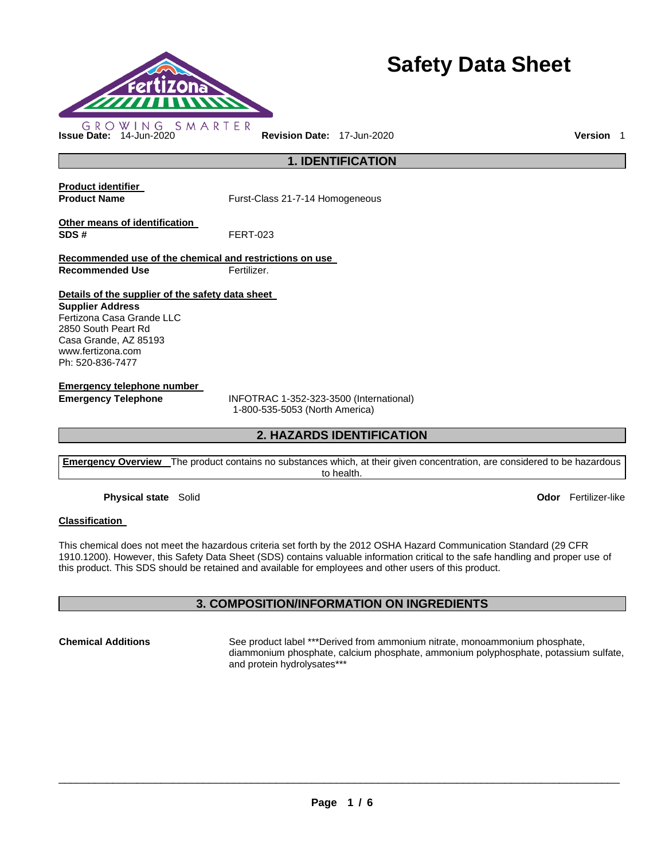

# **Safety Data Sheet**

**Issue Date:** 14-Jun-2020 **Revision Date:** 17-Jun-2020 **Version** 1

**1. IDENTIFICATION** 

**Product identifier** 

**Product Name Furst-Class 21-7-14 Homogeneous** 

**Other means of identification SDS #** FERT-023

**Recommended use of the chemical and restrictions on use Recommended Use Fertilizer.** 

**Details of the supplier of the safety data sheet** 

**Supplier Address** Fertizona Casa Grande LLC 2850 South Peart Rd Casa Grande, AZ 85193 www.fertizona.com Ph: 520-836-7477

**Emergency telephone number** 

**Emergency Telephone** INFOTRAC 1-352-323-3500 (International) 1-800-535-5053 (North America)

# **2. HAZARDS IDENTIFICATION**

**Emergency Overview** The product contains no substances which, at their given concentration, are considered to be hazardous to health.

**Physical state** Solid **Odor** Fertilizer-like

#### **Classification**

This chemical does not meet the hazardous criteria set forth by the 2012 OSHA Hazard Communication Standard (29 CFR 1910.1200). However, this Safety Data Sheet (SDS) contains valuable information critical to the safe handling and proper use of this product. This SDS should be retained and available for employees and other users of this product.

# **3. COMPOSITION/INFORMATION ON INGREDIENTS**

**Chemical Additions** See product label \*\*\*Derived from ammonium nitrate, monoammonium phosphate, diammonium phosphate, calcium phosphate, ammonium polyphosphate, potassium sulfate, and protein hydrolysates\*\*\*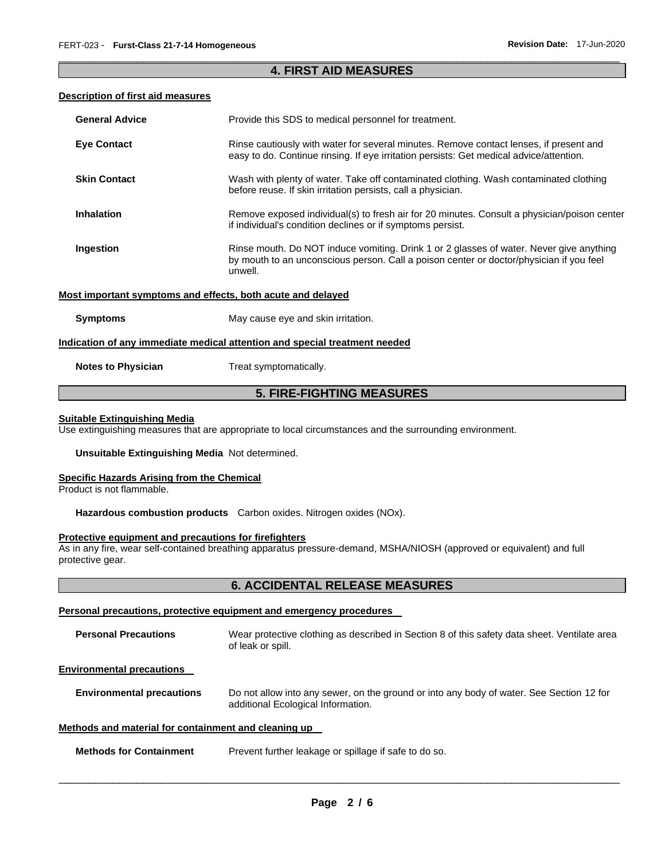### \_\_\_\_\_\_\_\_\_\_\_\_\_\_\_\_\_\_\_\_\_\_\_\_\_\_\_\_\_\_\_\_\_\_\_\_\_\_\_\_\_\_\_\_\_\_\_\_\_\_\_\_\_\_\_\_\_\_\_\_\_\_\_\_\_\_\_\_\_\_\_\_\_\_\_\_\_\_\_\_\_\_\_\_\_\_\_\_\_\_\_\_\_ **4. FIRST AID MEASURES**

#### **Description of first aid measures**

| <b>General Advice</b>     | Provide this SDS to medical personnel for treatment.                                                                                                                                          |
|---------------------------|-----------------------------------------------------------------------------------------------------------------------------------------------------------------------------------------------|
| <b>Eye Contact</b>        | Rinse cautiously with water for several minutes. Remove contact lenses, if present and<br>easy to do. Continue rinsing. If eye irritation persists: Get medical advice/attention.             |
| <b>Skin Contact</b>       | Wash with plenty of water. Take off contaminated clothing. Wash contaminated clothing<br>before reuse. If skin irritation persists, call a physician.                                         |
| <b>Inhalation</b>         | Remove exposed individual(s) to fresh air for 20 minutes. Consult a physician/poison center<br>if individual's condition declines or if symptoms persist.                                     |
| Ingestion                 | Rinse mouth. Do NOT induce vomiting. Drink 1 or 2 glasses of water. Never give anything<br>by mouth to an unconscious person. Call a poison center or doctor/physician if you feel<br>unwell. |
|                           | Most important symptoms and effects, both acute and delayed                                                                                                                                   |
| <b>Symptoms</b>           | May cause eye and skin irritation.                                                                                                                                                            |
|                           | Indication of any immediate medical attention and special treatment needed                                                                                                                    |
| <b>Notes to Physician</b> | Treat symptomatically.                                                                                                                                                                        |

# **5. FIRE-FIGHTING MEASURES**

#### **Suitable Extinguishing Media**

Use extinguishing measures that are appropriate to local circumstances and the surrounding environment.

#### **Unsuitable Extinguishing Media** Not determined.

#### **Specific Hazards Arising from the Chemical**

Product is not flammable.

**Hazardous combustion products** Carbon oxides. Nitrogen oxides (NOx).

#### **Protective equipment and precautions for firefighters**

As in any fire, wear self-contained breathing apparatus pressure-demand, MSHA/NIOSH (approved or equivalent) and full protective gear.

# **6. ACCIDENTAL RELEASE MEASURES**

#### **Personal precautions, protective equipment and emergency procedures**

| <b>Personal Precautions</b>                          | Wear protective clothing as described in Section 8 of this safety data sheet. Ventilate area<br>of leak or spill.              |  |
|------------------------------------------------------|--------------------------------------------------------------------------------------------------------------------------------|--|
| <b>Environmental precautions</b>                     |                                                                                                                                |  |
| <b>Environmental precautions</b>                     | Do not allow into any sewer, on the ground or into any body of water. See Section 12 for<br>additional Ecological Information. |  |
| Methods and material for containment and cleaning up |                                                                                                                                |  |

#### **Methods for Containment** Prevent further leakage or spillage if safe to do so.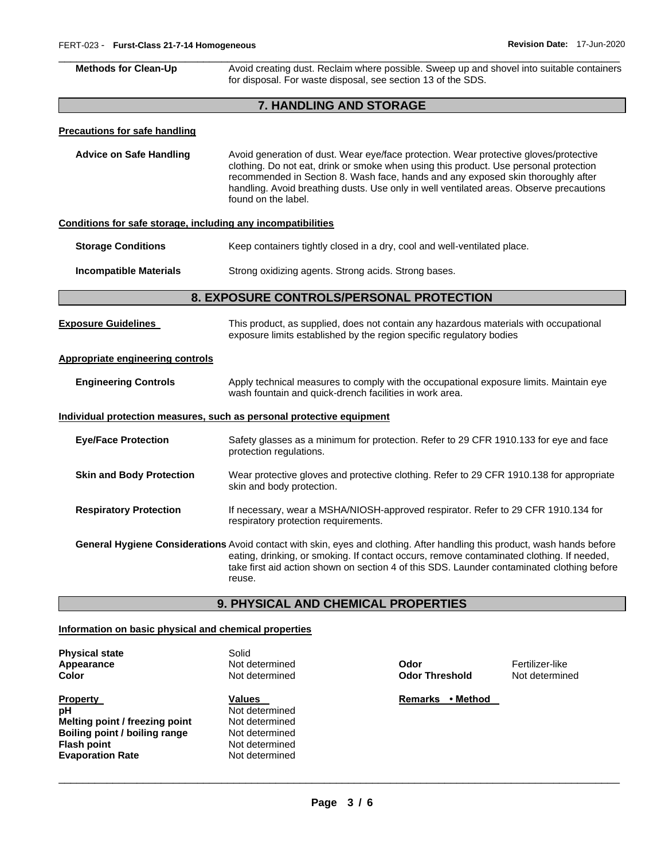| <b>Methods for Clean-Up</b>                                  | Avoid creating dust. Reclaim where possible. Sweep up and shovel into suitable containers<br>for disposal. For waste disposal, see section 13 of the SDS.                                                                                                                                                                                                                            |  |  |  |
|--------------------------------------------------------------|--------------------------------------------------------------------------------------------------------------------------------------------------------------------------------------------------------------------------------------------------------------------------------------------------------------------------------------------------------------------------------------|--|--|--|
| 7. HANDLING AND STORAGE                                      |                                                                                                                                                                                                                                                                                                                                                                                      |  |  |  |
| <b>Precautions for safe handling</b>                         |                                                                                                                                                                                                                                                                                                                                                                                      |  |  |  |
| <b>Advice on Safe Handling</b>                               | Avoid generation of dust. Wear eye/face protection. Wear protective gloves/protective<br>clothing. Do not eat, drink or smoke when using this product. Use personal protection<br>recommended in Section 8. Wash face, hands and any exposed skin thoroughly after<br>handling. Avoid breathing dusts. Use only in well ventilated areas. Observe precautions<br>found on the label. |  |  |  |
| Conditions for safe storage, including any incompatibilities |                                                                                                                                                                                                                                                                                                                                                                                      |  |  |  |
| <b>Storage Conditions</b>                                    | Keep containers tightly closed in a dry, cool and well-ventilated place.                                                                                                                                                                                                                                                                                                             |  |  |  |
| <b>Incompatible Materials</b>                                | Strong oxidizing agents. Strong acids. Strong bases.                                                                                                                                                                                                                                                                                                                                 |  |  |  |
|                                                              | 8. EXPOSURE CONTROLS/PERSONAL PROTECTION                                                                                                                                                                                                                                                                                                                                             |  |  |  |
| <b>Exposure Guidelines</b>                                   | This product, as supplied, does not contain any hazardous materials with occupational<br>exposure limits established by the region specific regulatory bodies                                                                                                                                                                                                                        |  |  |  |
| <b>Appropriate engineering controls</b>                      |                                                                                                                                                                                                                                                                                                                                                                                      |  |  |  |
| <b>Engineering Controls</b>                                  | Apply technical measures to comply with the occupational exposure limits. Maintain eye<br>wash fountain and quick-drench facilities in work area.                                                                                                                                                                                                                                    |  |  |  |
|                                                              | Individual protection measures, such as personal protective equipment                                                                                                                                                                                                                                                                                                                |  |  |  |
| <b>Eye/Face Protection</b>                                   | Safety glasses as a minimum for protection. Refer to 29 CFR 1910.133 for eye and face<br>protection regulations.                                                                                                                                                                                                                                                                     |  |  |  |
| <b>Skin and Body Protection</b>                              | Wear protective gloves and protective clothing. Refer to 29 CFR 1910.138 for appropriate<br>skin and body protection.                                                                                                                                                                                                                                                                |  |  |  |
| <b>Respiratory Protection</b>                                | If necessary, wear a MSHA/NIOSH-approved respirator. Refer to 29 CFR 1910.134 for<br>respiratory protection requirements.                                                                                                                                                                                                                                                            |  |  |  |
|                                                              | General Hygiene Considerations Avoid contact with skin, eyes and clothing. After handling this product, wash hands before<br>eating, drinking, or smoking. If contact occurs, remove contaminated clothing. If needed,<br>take first aid action shown on section 4 of this SDS. Launder contaminated clothing before<br>reuse.                                                       |  |  |  |
|                                                              | 9. PHYSICAL AND CHEMICAL PROPERTIES                                                                                                                                                                                                                                                                                                                                                  |  |  |  |

## **Information on basic physical and chemical properties**

**Physical state** Solid<br> **Appearance** Not d **Appearance** Not determined **Odor** Fertilizer-like

**Property Manual Property Property Contract Values Values Contract Property Remarks • Method pH Property Remarks • Method D Values**<br>Not determined **Melting point / freezing point** Not determined **Boiling point / boiling range** Not determined **Flash point CONSERVING CONSERVING PROPERTIES**<br> **Evaporation Rate Not determined Evaporation Rate** 

**Odor Threshold**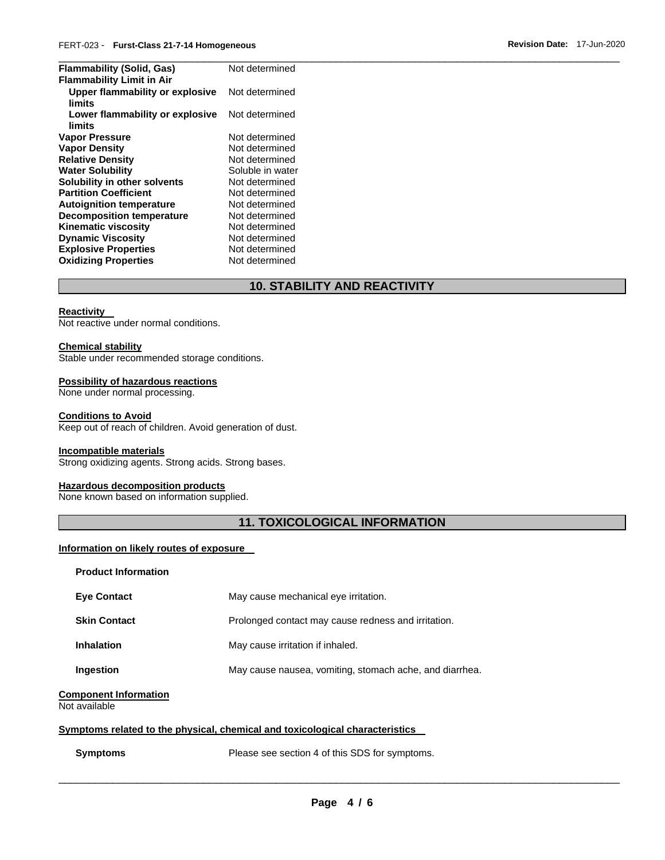| Not determined   |
|------------------|
|                  |
| Not determined   |
| Not determined   |
| Not determined   |
| Not determined   |
| Not determined   |
| Soluble in water |
| Not determined   |
| Not determined   |
| Not determined   |
| Not determined   |
| Not determined   |
| Not determined   |
| Not determined   |
| Not determined   |
|                  |

# **10. STABILITY AND REACTIVITY**

#### **Reactivity**

Not reactive under normal conditions.

#### **Chemical stability**

Stable under recommended storage conditions.

#### **Possibility of hazardous reactions**

None under normal processing.

#### **Conditions to Avoid**

Keep out of reach of children. Avoid generation of dust.

#### **Incompatible materials**

Strong oxidizing agents. Strong acids. Strong bases.

#### **Hazardous decomposition products**

None known based on information supplied.

# **11. TOXICOLOGICAL INFORMATION**

#### **Information on likely routes of exposure**

| <b>Product Information</b>                    |                                                         |
|-----------------------------------------------|---------------------------------------------------------|
| <b>Eve Contact</b>                            | May cause mechanical eye irritation.                    |
| <b>Skin Contact</b>                           | Prolonged contact may cause redness and irritation.     |
| <b>Inhalation</b>                             | May cause irritation if inhaled.                        |
| Ingestion                                     | May cause nausea, vomiting, stomach ache, and diarrhea. |
| <b>Component Information</b><br>Not available |                                                         |

#### **Symptoms related to the physical, chemical and toxicological characteristics**

**Symptoms** Please see section 4 of this SDS for symptoms.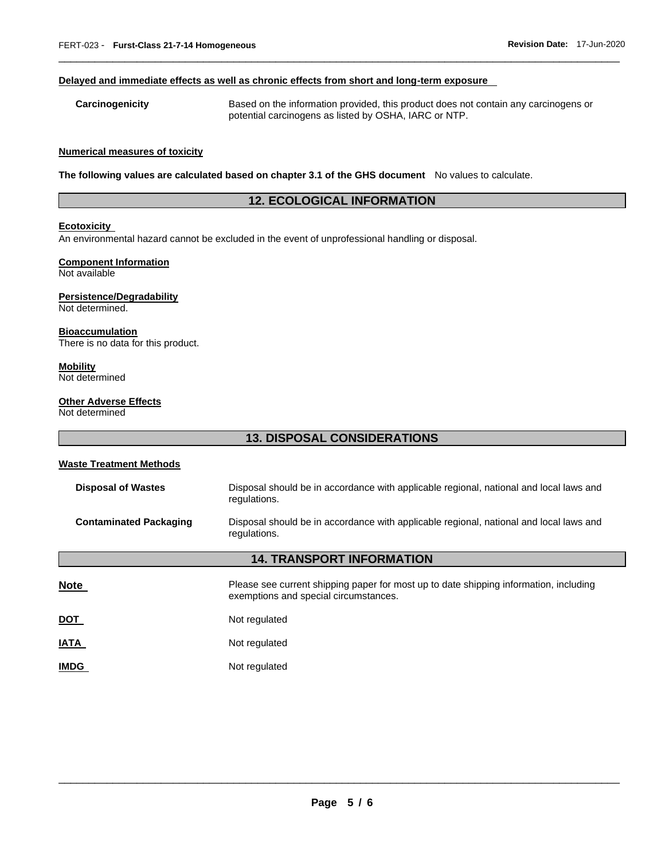#### **Delayed and immediate effects as well as chronic effects from short and long-term exposure**

**Carcinogenicity** Based on the information provided, this product does not contain any carcinogens or potential carcinogens as listed by OSHA, IARC or NTP.

\_\_\_\_\_\_\_\_\_\_\_\_\_\_\_\_\_\_\_\_\_\_\_\_\_\_\_\_\_\_\_\_\_\_\_\_\_\_\_\_\_\_\_\_\_\_\_\_\_\_\_\_\_\_\_\_\_\_\_\_\_\_\_\_\_\_\_\_\_\_\_\_\_\_\_\_\_\_\_\_\_\_\_\_\_\_\_\_\_\_\_\_\_

#### **Numerical measures of toxicity**

**The following values are calculated based on chapter 3.1 of the GHS document** No values to calculate.

# **12. ECOLOGICAL INFORMATION**

#### **Ecotoxicity**

An environmental hazard cannot be excluded in the event of unprofessional handling or disposal.

# **Component Information**

Not available

#### **Persistence/Degradability**

Not determined.

#### **Bioaccumulation**

There is no data for this product.

#### **Mobility**

Not determined

#### **Other Adverse Effects**

Not determined

# **13. DISPOSAL CONSIDERATIONS**

#### **Waste Treatment Methods**

| <b>Disposal of Wastes</b>        | Disposal should be in accordance with applicable regional, national and local laws and<br>regulations.                         |  |  |
|----------------------------------|--------------------------------------------------------------------------------------------------------------------------------|--|--|
| <b>Contaminated Packaging</b>    | Disposal should be in accordance with applicable regional, national and local laws and<br>regulations.                         |  |  |
| <b>14. TRANSPORT INFORMATION</b> |                                                                                                                                |  |  |
| <b>Note</b>                      | Please see current shipping paper for most up to date shipping information, including<br>exemptions and special circumstances. |  |  |
| <b>DOT</b>                       | Not regulated                                                                                                                  |  |  |
| <u>IATA</u>                      | Not regulated                                                                                                                  |  |  |
| <b>IMDG</b>                      | Not regulated                                                                                                                  |  |  |